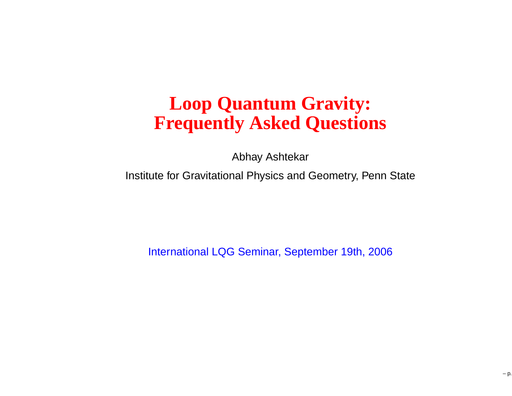#### **Loop Quantum Gravity:Frequently Asked Questions**

Abhay Ashtekar

Institute for Gravitational Physics and Geometry, Penn State

International LQG Seminar, September 19th, 2006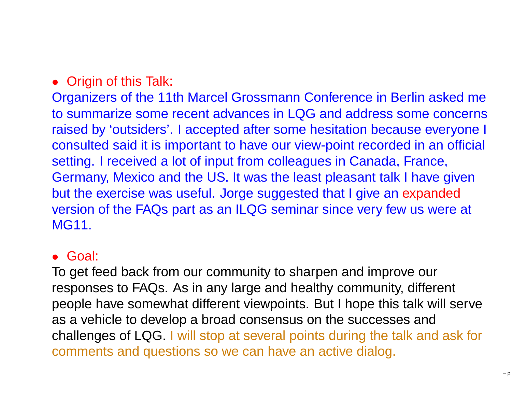#### • Origin of this Talk:

Organizers of the 11th Marcel Grossmann Conference in Berlin asked me to summarize some recent advances in LQG and address some concerns raised by 'outsiders'. I accepted after some hesitation because everyone I consulted said it is important to have our view-point recorded in an official setting. I received <sup>a</sup> lot of input from colleagues in Canada, France, Germany, Mexico and the US. It was the least pleasant talk I have givenbut the exercise was useful. Jorge suggested that I give an expanded version of the FAQs part as an ILQG seminar since very few us were at MG11.

#### • Goal:

To get feed back from our community to sharpen and improve ourresponses to FAQs. As in any large and healthy community, different people have somewhat different viewpoints. But I hope this talk will serveas <sup>a</sup> vehicle to develop <sup>a</sup> broad consensus on the successes and challenges of LQG. I will stop at several points during the talk and ask forcomments and questions so we can have an active dialog.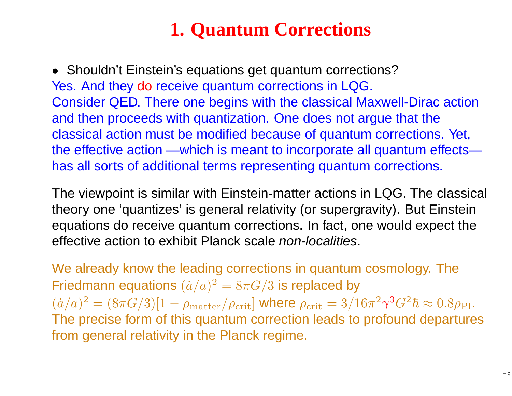## **1. Quantum Corrections**

• Shouldn't Einstein's equations get quantum corrections?Yes. And they do receive quantum corrections in LQG. Consider QED. There one begins with the classical Maxwell-Dirac actionand then proceeds with quantization. One does not argue that the classical action must be modified because of quantum corrections. Yet, the effective action —which is meant to incorporate all quantum effectshas all sorts of additional terms representing quantum corrections.

The viewpoint is similar with Einstein-matter actions in LQG. The classical theory one 'quantizes' is general relativity (or supergravity). But Einstein equations do receive quantum corrections. In fact, one would expect theeffective action to exhibit Planck scale *non-localities*.

We already know the leading corrections in quantum cosmology. TheFriedmann equations  $(\dot{a}/a)^2=8\pi G/3$  is replaced by  $(\dot{a}/a)^2=(8\pi G/3)[1-\rho_{\mathrm{matter}}/\rho_{\mathrm{crit}}]$  ) The precise form of this quantum correction leads to profound departures $\rho_{\text{matter}}/\rho_{\text{crit}}]$  where  $\rho_{\text{crit}} = 3/16\pi^2$  $^2\gamma ^3$  $^3G^2$  $^2\hbar \approx 0.8 \rho_{\rm Pl}.$ from general relativity in the Planck regime.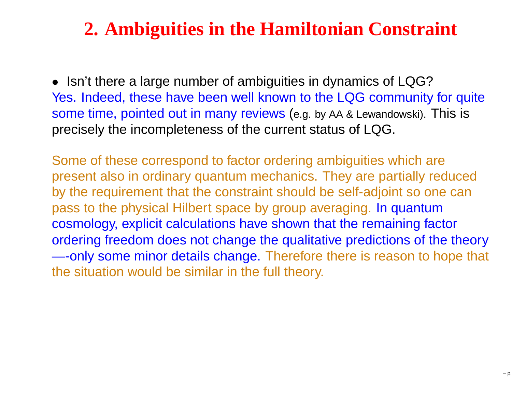# **2. Ambiguities in the Hamiltonian Constraint**

• Isn't there <sup>a</sup> large number of ambiguities in dynamics of LQG? Yes. Indeed, these have been well known to the LQG community for quite ${\sf some\ time},$   ${\sf pointed\ out\ in\ many\ reviews}$  (e.g. by AA & Lewandowski). This is precisely the incompleteness of the current status of LQG.

Some of these correspond to factor ordering ambiguities which are present also in ordinary quantum mechanics. They are partially reduced by the requirement that the constraint should be self-adjoint so one canpass to the physical Hilbert space by group averaging. In quantum cosmology, explicit calculations have shown that the remaining factorordering freedom does not change the qualitative predictions of the theory —-only some minor details change. Therefore there is reason to hope that the situation would be similar in the full theory.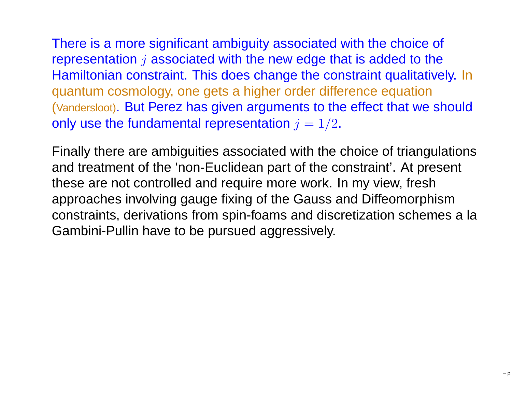There is <sup>a</sup> more significant ambiguity associated with the choice of representation  $j$  associated with the new edge that is added to the Hamiltonian constraint. This does change the constraint qualitatively. Inquantum cosmology, one gets <sup>a</sup> higher order difference equation (Vandersloot). But Perez has given arguments to the effect that we shouldonly use the fundamental representation  $j = 1/2.$ 

Finally there are ambiguities associated with the choice of triangulationsand treatment of the 'non-Euclidean part of the constraint'. At present these are not controlled and require more work. In my view, fresh approaches involving gauge fixing of the Gauss and Diffeomorphism constraints, derivations from spin-foams and discretization schemes <sup>a</sup> laGambini-Pullin have to be pursued aggressively.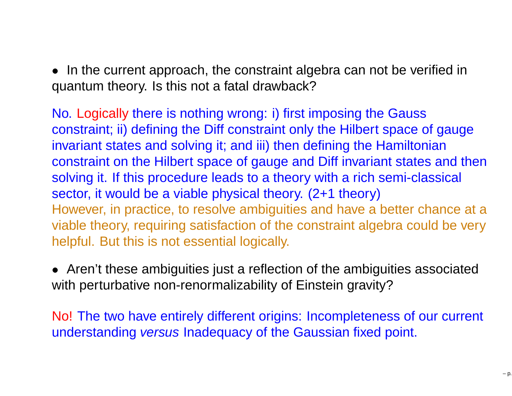• In the current approach, the constraint algebra can not be verified inquantum theory. Is this not <sup>a</sup> fatal drawback?

No. Logically there is nothing wrong: i) first imposing the Gauss constraint; ii) defining the Diff constraint only the Hilbert space of gaugeinvariant states and solving it; and iii) then defining the Hamiltonian constraint on the Hilbert space of gauge and Diff invariant states and thensolving it. If this procedure leads to <sup>a</sup> theory with <sup>a</sup> rich semi-classical sector, it would be <sup>a</sup> viable physical theory. (2+1 theory) However, in practice, to resolve ambiguities and have <sup>a</sup> better chance at <sup>a</sup> viable theory, requiring satisfaction of the constraint algebra could be veryhelpful. But this is not essential logically.

• Aren't these ambiguities just <sup>a</sup> reflection of the ambiguities associatedwith perturbative non-renormalizability of Einstein gravity?

No! The two have entirely different origins: Incompleteness of our current understanding *versus* Inadequacy of the Gaussian fixed point.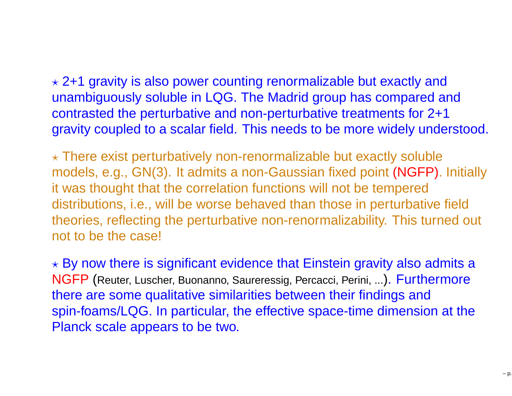$\star$  2+1 gravity is also power counting renormalizable but exactly and unambiguously soluble in LQG. The Madrid group has compared and contrasted the perturbative and non-perturbative treatments for 2+1gravity coupled to <sup>a</sup> scalar field. This needs to be more widely understood.

 $\star$  There exist perturbatively non-renormalizable but exactly soluble models, e.g., GN(3). It admits <sup>a</sup> non-Gaussian fixed point (NGFP). Initiallyit was thought that the correlation functions will not be tempered distributions, i.e., will be worse behaved than those in perturbative field theories, reflecting the perturbative non-renormalizability. This turned out not to be the case!

 $\star$  By now there is significant evidence that Einstein gravity also admits a NGFP (Reuter, Luscher, Buonanno, Saureressig, Percacci, Perini, ...). Furthermore there are some qualitative similarities between their findings and spin-foams/LQG. In particular, the effective space-time dimension at thePlanck scale appears to be two.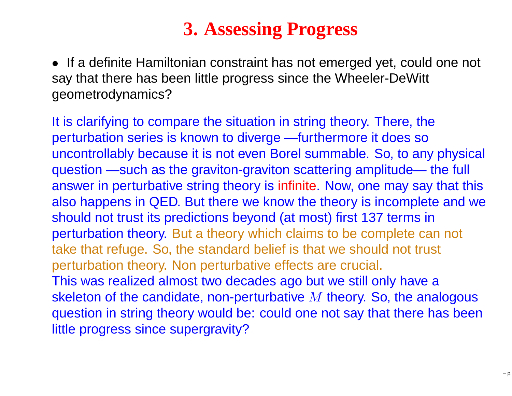## **3. Assessing Progress**

• If <sup>a</sup> definite Hamiltonian constraint has not emerged yet, could one not say that there has been little progress since the Wheeler-DeWitt geometrodynamics?

It is clarifying to compare the situation in string theory. There, the perturbation series is known to diverge —furthermore it does so uncontrollably because it is not even Borel summable. So, to any physical question —such as the graviton-graviton scattering amplitude— the full answer in perturbative string theory is infinite. Now, one may say that this also happens in QED. But there we know the theory is incomplete and weshould not trust its predictions beyond (at most) first 137 terms in perturbation theory. But <sup>a</sup> theory which claims to be complete can not take that refuge. So, the standard belief is that we should not trust perturbation theory. Non perturbative effects are crucial. This was realized almost two decades ago but we still only have <sup>a</sup>skeleton of the candidate, non-perturbative  $M$  theory. So, the analogous<br>question in string theory would be: could one not say that there has been question in string theory would be: could one not say that there has beenlittle progress since supergravity?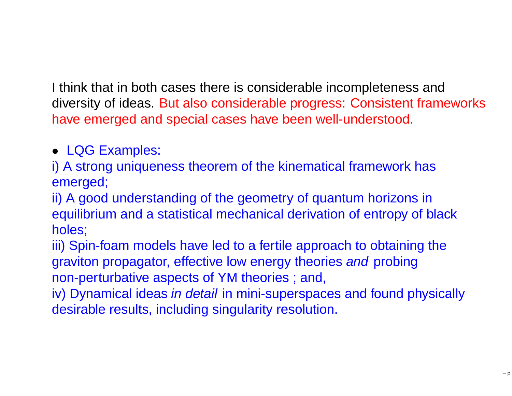I think that in both cases there is considerable incompleteness and diversity of ideas. But also considerable progress: Consistent frameworkshave emerged and special cases have been well-understood.

• LQG Examples:

i) A strong uniqueness theorem of the kinematical framework has emerged;

ii) A good understanding of the geometry of quantum horizons in equilibrium and <sup>a</sup> statistical mechanical derivation of entropy of blackholes;

iii) Spin-foam models have led to <sup>a</sup> fertile approach to obtaining thegraviton propagator, effective low energy theories and probing non-perturbative aspects of YM theories ; and,

iv) Dynamical ideas *in detail* in mini-superspaces and found physically desirable results, including singularity resolution.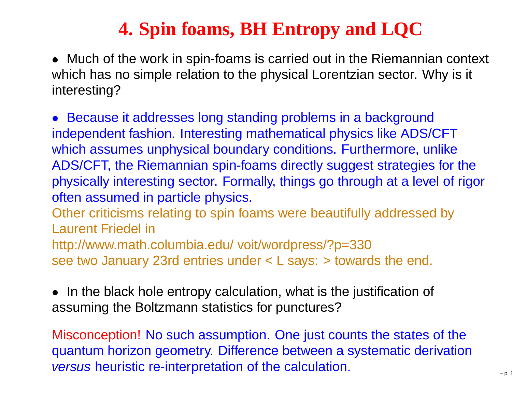# **4. Spin foams, BH Entropy and LQC**

• Much of the work in spin-foams is carried out in the Riemannian context which has no simple relation to the physical Lorentzian sector. Why is it interesting?

• Because it addresses long standing problems in <sup>a</sup> background independent fashion. Interesting mathematical physics like ADS/CFT which assumes unphysical boundary conditions. Furthermore, unlike ADS/CFT, the Riemannian spin-foams directly suggest strategies for the physically interesting sector. Formally, things go through at <sup>a</sup> level of rigoroften assumed in particle physics.

Other criticisms relating to spin foams were beautifully addressed byLaurent Friedel in

 http://www.math.columbia.edu/ voit/wordpress/?p=330see two January 23rd entries under <sup>&</sup>lt; L says: <sup>&</sup>gt; towards the end.

• In the black hole entropy calculation, what is the justification of assuming the Boltzmann statistics for punctures?

Misconception! No such assumption. One just counts the states of the quantum horizon geometry. Difference between <sup>a</sup> systematic derivation*versus* heuristic re-interpretation of the calculation.  $\frac{1}{2}$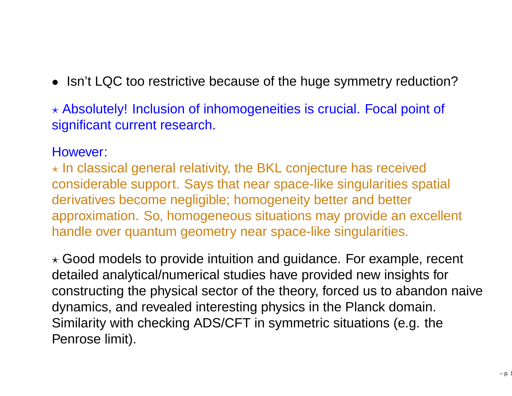- Isn't LQC too restrictive because of the huge symmetry reduction?
- $\star$  Absolutely! Inclusion of inhomogeneities is crucial. Focal point of significant current research.

#### However:

 $\star$  In classical general relativity, the BKL conjecture has received considerable support. Says that near space-like singularities spatial derivatives become negligible; homogeneity better and betterapproximation. So, homogeneous situations may provide an excellent handle over quantum geometry near space-like singularities.

 $\star$  Good models to provide intuition and guidance. For example, recent detailed analytical/numerical studies have provided new insights forconstructing the physical sector of the theory, forced us to abandon naive dynamics, and revealed interesting physics in the Planck domain. Similarity with checking ADS/CFT in symmetric situations (e.g. thePenrose limit).